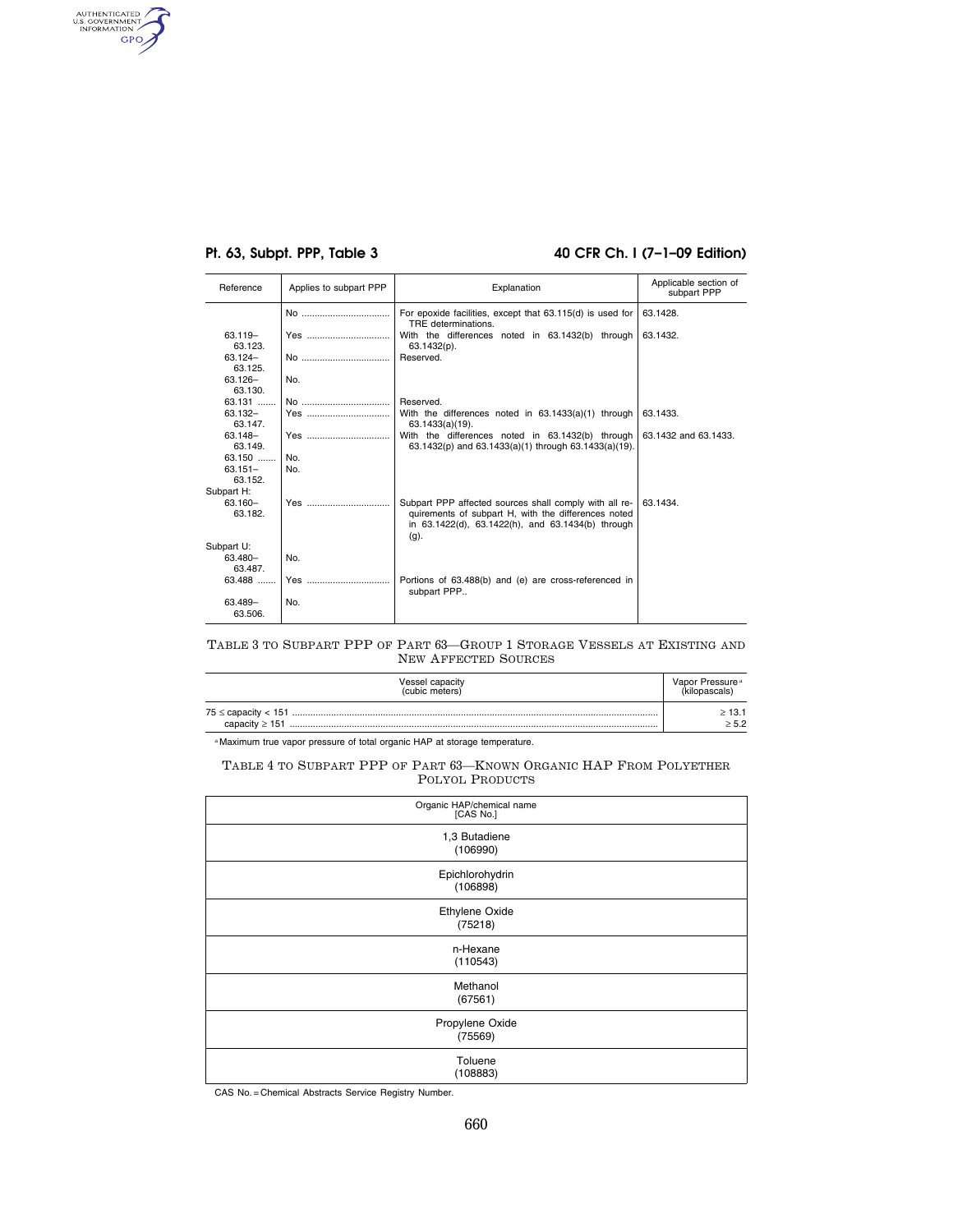AUTHENTICATED

## **Pt. 63, Subpt. PPP, Table 3 40 CFR Ch. I (7–1–09 Edition)**

| Reference             | Applies to subpart PPP                         | Explanation                                                                                                                                                                | Applicable section of<br>subpart PPP |
|-----------------------|------------------------------------------------|----------------------------------------------------------------------------------------------------------------------------------------------------------------------------|--------------------------------------|
|                       | $N_{\Omega}$ and $N_{\Omega}$ and $N_{\Omega}$ | For epoxide facilities, except that 63.115(d) is used for<br>TRE determinations.                                                                                           | 63.1428.                             |
| 63.119-<br>63.123.    | Yes                                            | With the differences noted in 63.1432(b) through<br>$63.1432(p)$ .                                                                                                         | 63.1432.                             |
| 63.124-<br>63.125.    | No                                             | Reserved.                                                                                                                                                                  |                                      |
| $63.126 -$<br>63.130. | No.                                            |                                                                                                                                                                            |                                      |
| 63.131                | No                                             | Reserved.                                                                                                                                                                  |                                      |
| 63.132-<br>63.147.    | Yes                                            | With the differences noted in 63.1433(a)(1) through<br>$63.1433(a)(19)$ .                                                                                                  | 63.1433.                             |
| $63.148 -$<br>63.149. | Yes                                            | With the differences noted in 63.1432(b) through<br>63.1432(p) and 63.1433(a)(1) through 63.1433(a)(19).                                                                   | 63.1432 and 63.1433.                 |
| $63.150$              | No.                                            |                                                                                                                                                                            |                                      |
| $63.151 -$            | No.                                            |                                                                                                                                                                            |                                      |
| 63.152.               |                                                |                                                                                                                                                                            |                                      |
| Subpart H:            |                                                |                                                                                                                                                                            |                                      |
| 63.160-<br>63.182.    | Yes                                            | Subpart PPP affected sources shall comply with all re-<br>quirements of subpart H, with the differences noted<br>in 63.1422(d), 63.1422(h), and 63.1434(b) through<br>(g). | 63.1434.                             |
| Subpart U:            |                                                |                                                                                                                                                                            |                                      |
| 63.480-<br>63.487.    | No.                                            |                                                                                                                                                                            |                                      |
| $63.488$              | Yes                                            | Portions of 63.488(b) and (e) are cross-referenced in<br>subpart PPP                                                                                                       |                                      |
| 63.489-<br>63.506.    | No.                                            |                                                                                                                                                                            |                                      |

TABLE 3 TO SUBPART PPP OF PART 63—GROUP 1 STORAGE VESSELS AT EXISTING AND NEW AFFECTED SOURCES

| <b>Vessel capacity</b><br>(cubic meters) | Vapor Pressure <sup>a</sup> |
|------------------------------------------|-----------------------------|
|                                          | >13.1                       |
|                                          | > 5.2                       |

a Maximum true vapor pressure of total organic HAP at storage temperature.

### TABLE 4 TO SUBPART PPP OF PART 63—KNOWN ORGANIC HAP FROM POLYETHER POLYOL PRODUCTS

| Organic HAP/chemical name<br>[CAS No.] |  |  |
|----------------------------------------|--|--|
| 1,3 Butadiene<br>(106990)              |  |  |
| Epichlorohydrin<br>(106898)            |  |  |
| Ethylene Oxide<br>(75218)              |  |  |
| n-Hexane<br>(110543)                   |  |  |
| Methanol<br>(67561)                    |  |  |
| Propylene Oxide<br>(75569)             |  |  |
| Toluene<br>(108883)                    |  |  |

CAS No. = Chemical Abstracts Service Registry Number.